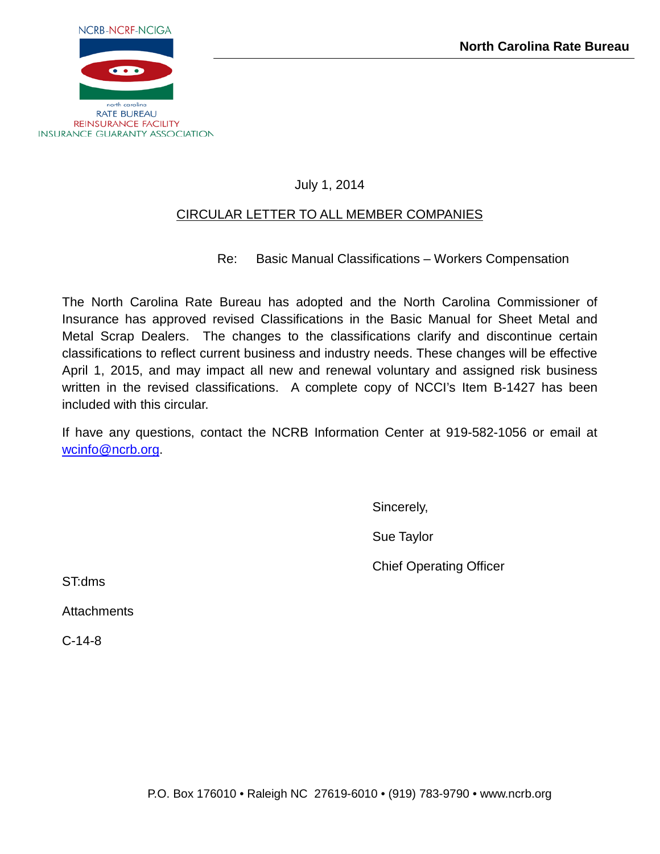

# July 1, 2014

# CIRCULAR LETTER TO ALL MEMBER COMPANIES

Re: Basic Manual Classifications – Workers Compensation

The North Carolina Rate Bureau has adopted and the North Carolina Commissioner of Insurance has approved revised Classifications in the Basic Manual for Sheet Metal and Metal Scrap Dealers. The changes to the classifications clarify and discontinue certain classifications to reflect current business and industry needs. These changes will be effective April 1, 2015, and may impact all new and renewal voluntary and assigned risk business written in the revised classifications. A complete copy of NCCI's Item B-1427 has been included with this circular.

If have any questions, contact the NCRB Information Center at 919-582-1056 or email at [wcinfo@ncrb.org.](mailto:wcinfo@ncrb.org)

Sincerely,

Sue Taylor

Chief Operating Officer

ST:dms

**Attachments** 

C-14-8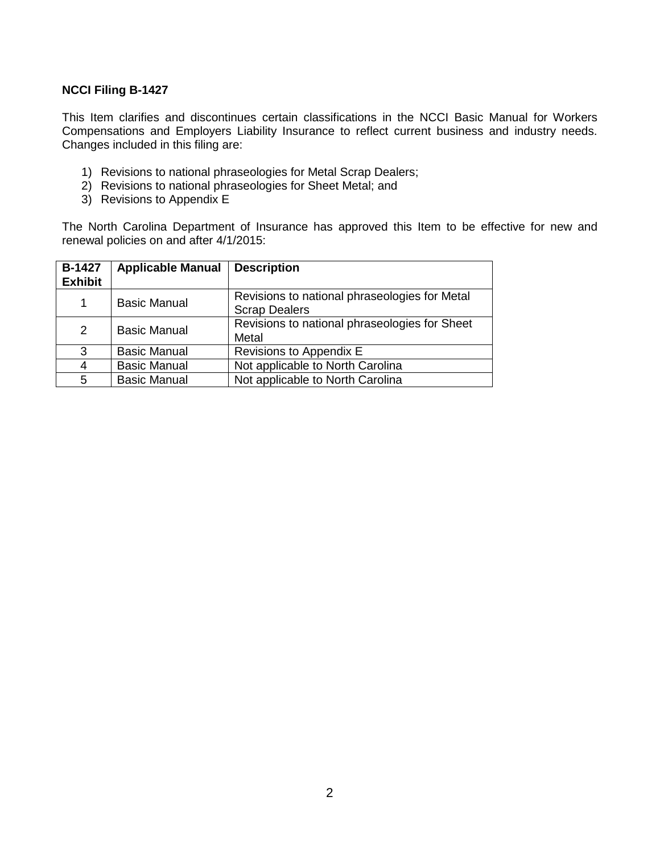# **NCCI Filing B-1427**

This Item clarifies and discontinues certain classifications in the NCCI Basic Manual for Workers Compensations and Employers Liability Insurance to reflect current business and industry needs. Changes included in this filing are:

- 1) Revisions to national phraseologies for Metal Scrap Dealers;
- 2) Revisions to national phraseologies for Sheet Metal; and
- 3) Revisions to Appendix E

The North Carolina Department of Insurance has approved this Item to be effective for new and renewal policies on and after 4/1/2015:

| <b>B-1427</b><br><b>Exhibit</b> | <b>Applicable Manual</b> | <b>Description</b>                                                    |
|---------------------------------|--------------------------|-----------------------------------------------------------------------|
| 1                               | <b>Basic Manual</b>      | Revisions to national phraseologies for Metal<br><b>Scrap Dealers</b> |
| 2                               | <b>Basic Manual</b>      | Revisions to national phraseologies for Sheet<br>Metal                |
| 3                               | <b>Basic Manual</b>      | Revisions to Appendix E                                               |
| 4                               | <b>Basic Manual</b>      | Not applicable to North Carolina                                      |
| 5                               | <b>Basic Manual</b>      | Not applicable to North Carolina                                      |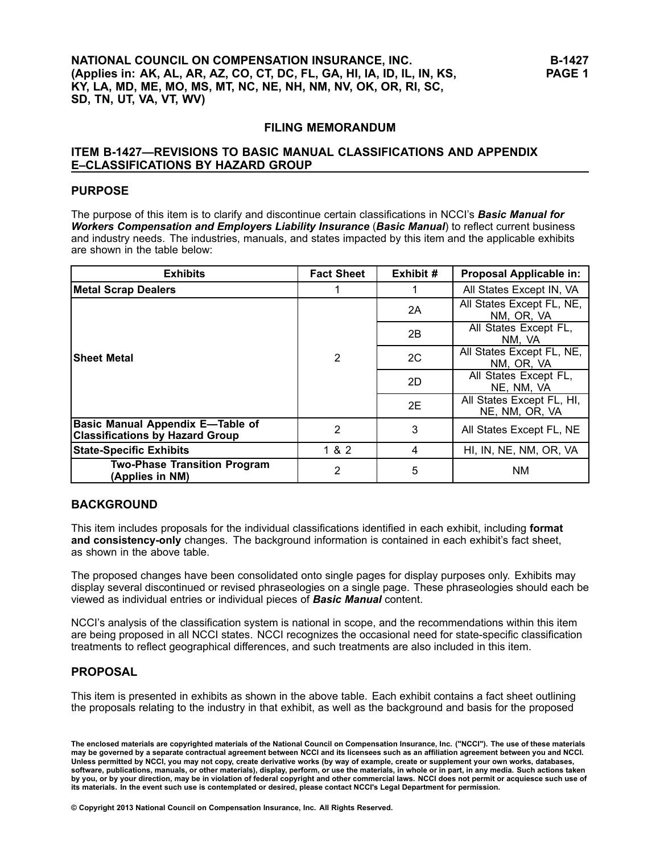# **FILING MEMORANDUM**

# **ITEM B-1427—REVISIONS TO BASIC MANUAL CLASSIFICATIONS AND APPENDIX E–CLASSIFICATIONS BY HAZARD GROUP**

# **PURPOSE**

The purpose of this item is to clarify and discontinue certain classifications in NCCI's *Basic Manual for Workers Compensation and Employers Liability Insurance* (*Basic Manual*) to reflect current business and industry needs. The industries, manuals, and states impacted by this item and the applicable exhibits are shown in the table below:

| <b>Exhibits</b>                                                                   | <b>Fact Sheet</b> | Exhibit # | Proposal Applicable in:                     |
|-----------------------------------------------------------------------------------|-------------------|-----------|---------------------------------------------|
| <b>Metal Scrap Dealers</b>                                                        | 1                 |           | All States Except IN, VA                    |
|                                                                                   | $\overline{2}$    | 2A        | All States Except FL, NE,<br>NM, OR, VA     |
|                                                                                   |                   | 2B        | All States Except FL,<br>NM, VA             |
| <b>Sheet Metal</b>                                                                |                   | 2C        | All States Except FL, NE,<br>NM, OR, VA     |
|                                                                                   |                   | 2D        | All States Except FL,<br>NE, NM, VA         |
|                                                                                   |                   | 2E        | All States Except FL, HI,<br>NE, NM, OR, VA |
| <b>Basic Manual Appendix E-Table of</b><br><b>Classifications by Hazard Group</b> | $\overline{2}$    | 3         | All States Except FL, NE                    |
| <b>State-Specific Exhibits</b>                                                    | 1 & 2             | 4         | HI, IN, NE, NM, OR, VA                      |
| <b>Two-Phase Transition Program</b><br>(Applies in NM)                            | 2                 | 5         | <b>NM</b>                                   |

# **BACKGROUND**

This item includes proposals for the individual classifications identified in each exhibit, including **format and consistency-only** changes. The background information is contained in each exhibit's fact sheet, as shown in the above table.

The proposed changes have been consolidated onto single pages for display purposes only. Exhibits may display several discontinued or revised phraseologies on <sup>a</sup> single page. These phraseologies should each be viewed as individual entries or individual pieces of *Basic Manual* content.

NCCI's analysis of the classification system is national in scope, and the recommendations within this item are being proposed in all NCCI states. NCCI recognizes the occasional need for state-specific classification treatments to reflect geographical differences, and such treatments are also included in this item.

# **PROPOSAL**

This item is presented in exhibits as shown in the above table. Each exhibit contains <sup>a</sup> fact sheet outlining the proposals relating to the industry in that exhibit, as well as the background and basis for the proposed

The enclosed materials are copyrighted materials of the National Council on Compensation Insurance, Inc. ("NCCI"). The use of these materials<br>may be governed by a separate contractual agreement between NCCI and its license Unless permitted by NCCI, you may not copy, create derivative works (by way of example, create or supplement your own works, databases, software, publications, manuals, or other materials), display, perform, or use the materials, in whole or in part, in any media. Such actions taken by you, or by your direction, may be in violation of federal copyright and other commercial laws. NCCI does not permit or acquiesce such use of its materials. In the event such use is contemplated or desired, please contact NCCI's Legal Department for permission.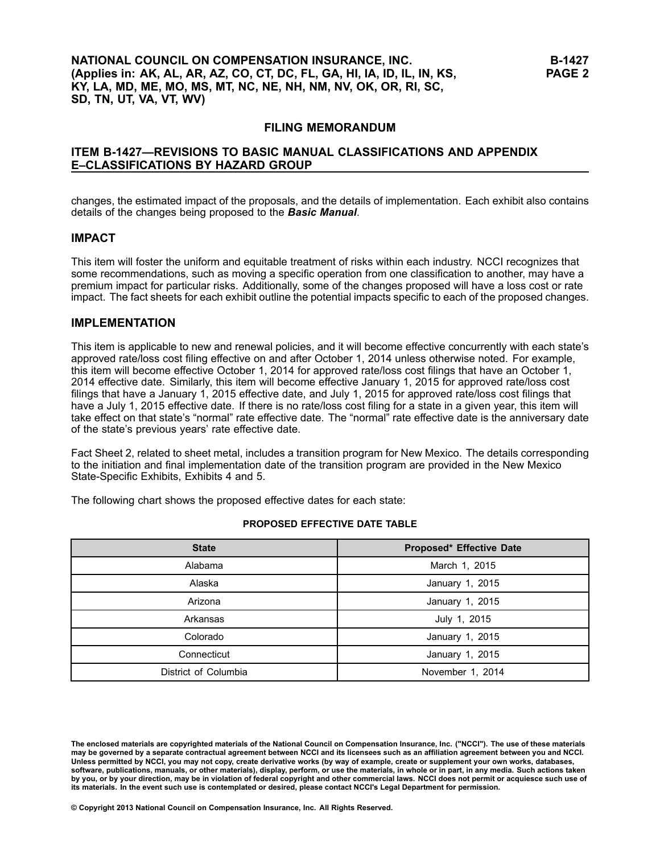# **NATIONAL COUNCIL ON COMPENSATION INSURANCE, INC.** (Applies in: AK, AL, AR, AZ, CO, CT, DC, FL, GA, HI, IA, ID, IL, IN, KS, KY, LA, MD, ME, MO, MS, MT, NC, NE, NH, NM, NV, OK, OR, RI, SC, **SD, TN, UT, VA, VT, WV)**

# **FILING MEMORANDUM**

# **ITEM B-1427—REVISIONS TO BASIC MANUAL CLASSIFICATIONS AND APPENDIX E–CLASSIFICATIONS BY HAZARD GROUP**

changes, the estimated impact of the proposals, and the details of implementation. Each exhibit also contains details of the changes being proposed to the *Basic Manual*.

# **IMPACT**

This item will foster the uniform and equitable treatment of risks within each industry. NCCI recognizes that some recommendations, such as moving <sup>a</sup> specific operation from one classification to another, may have <sup>a</sup> premium impact for particular risks. Additionally, some of the changes proposed will have <sup>a</sup> loss cost or rate impact. The fact sheets for each exhibit outline the potential impacts specific to each of the proposed changes.

## **IMPLEMENTATION**

This item is applicable to new and renewal policies, and it will become effective concurrently with each state's approved rate/loss cost filing effective on and after October 1, <sup>2014</sup> unless otherwise noted. For example, this item will become effective October 1, <sup>2014</sup> for approved rate/loss cost filings that have an October 1, <sup>2014</sup> effective date. Similarly, this item will become effective January 1, <sup>2015</sup> for approved rate/loss cost filings that have <sup>a</sup> January 1, <sup>2015</sup> effective date, and July 1, <sup>2015</sup> for approved rate/loss cost filings that have <sup>a</sup> July 1, <sup>2015</sup> effective date. If there is no rate/loss cost filing for <sup>a</sup> state in <sup>a</sup> given year, this item will take effect on that state's "normal" rate effective date. The "normal" rate effective date is the anniversary date of the state's previous years' rate effective date.

Fact Sheet 2, related to sheet metal, includes <sup>a</sup> transition program for New Mexico. The details corresponding to the initiation and final implementation date of the transition program are provided in the New Mexico State-Specific Exhibits, Exhibits <sup>4</sup> and 5.

The following chart shows the proposed effective dates for each state:

| <b>State</b>         | <b>Proposed* Effective Date</b> |
|----------------------|---------------------------------|
| Alabama              | March 1, 2015                   |
| Alaska               | January 1, 2015                 |
| Arizona              | January 1, 2015                 |
| Arkansas             | July 1, 2015                    |
| Colorado             | January 1, 2015                 |
| Connecticut          | January 1, 2015                 |
| District of Columbia | November 1, 2014                |

### **PROPOSED EFFECTIVE DATE TABLE**

The enclosed materials are copyrighted materials of the National Council on Compensation Insurance, Inc. ("NCCI"). The use of these materials<br>may be governed by a separate contractual agreement between NCCI and its license Unless permitted by NCCI, you may not copy, create derivative works (by way of example, create or supplement your own works, databases, software, publications, manuals, or other materials), display, perform, or use the materials, in whole or in part, in any media. Such actions taken by you, or by your direction, may be in violation of federal copyright and other commercial laws. NCCI does not permit or acquiesce such use of its materials. In the event such use is contemplated or desired, please contact NCCI's Legal Department for permission.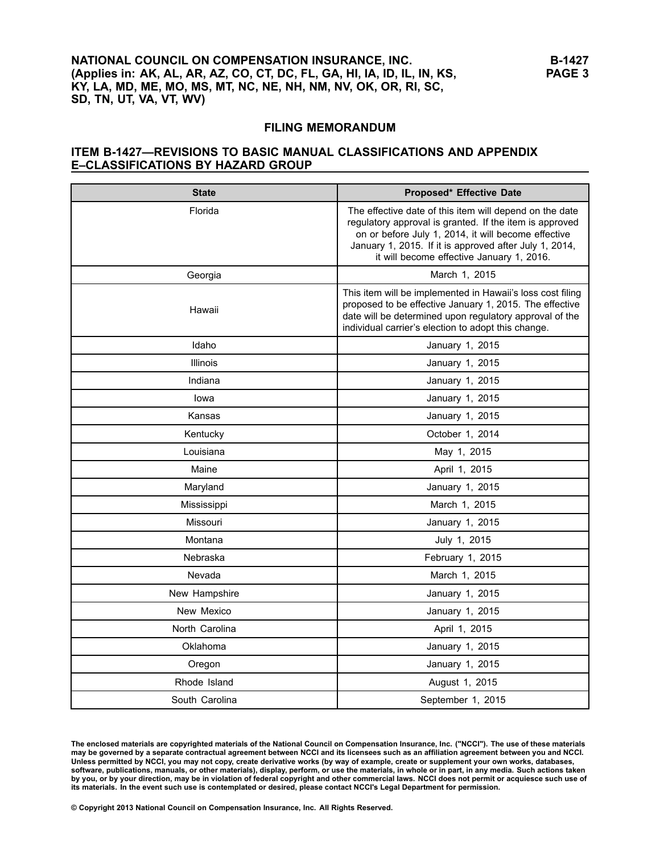# **NATIONAL COUNCIL ON COMPENSATION INSURANCE, INC.** (Applies in: AK, AL, AR, AZ, CO, CT, DC, FL, GA, HI, IA, ID, IL, IN, KS, KY, LA, MD, ME, MO, MS, MT, NC, NE, NH, NM, NV, OK, OR, RI, SC, **SD, TN, UT, VA, VT, WV)**

## **FILING MEMORANDUM**

# **ITEM B-1427—REVISIONS TO BASIC MANUAL CLASSIFICATIONS AND APPENDIX E–CLASSIFICATIONS BY HAZARD GROUP**

| <b>State</b>    | Proposed* Effective Date                                                                                                                                                                                                                                                         |
|-----------------|----------------------------------------------------------------------------------------------------------------------------------------------------------------------------------------------------------------------------------------------------------------------------------|
| Florida         | The effective date of this item will depend on the date<br>regulatory approval is granted. If the item is approved<br>on or before July 1, 2014, it will become effective<br>January 1, 2015. If it is approved after July 1, 2014,<br>it will become effective January 1, 2016. |
| Georgia         | March 1, 2015                                                                                                                                                                                                                                                                    |
| Hawaii          | This item will be implemented in Hawaii's loss cost filing<br>proposed to be effective January 1, 2015. The effective<br>date will be determined upon regulatory approval of the<br>individual carrier's election to adopt this change.                                          |
| Idaho           | January 1, 2015                                                                                                                                                                                                                                                                  |
| <b>Illinois</b> | January 1, 2015                                                                                                                                                                                                                                                                  |
| Indiana         | January 1, 2015                                                                                                                                                                                                                                                                  |
| lowa            | January 1, 2015                                                                                                                                                                                                                                                                  |
| Kansas          | January 1, 2015                                                                                                                                                                                                                                                                  |
| Kentucky        | October 1, 2014                                                                                                                                                                                                                                                                  |
| Louisiana       | May 1, 2015                                                                                                                                                                                                                                                                      |
| Maine           | April 1, 2015                                                                                                                                                                                                                                                                    |
| Maryland        | January 1, 2015                                                                                                                                                                                                                                                                  |
| Mississippi     | March 1, 2015                                                                                                                                                                                                                                                                    |
| Missouri        | January 1, 2015                                                                                                                                                                                                                                                                  |
| Montana         | July 1, 2015                                                                                                                                                                                                                                                                     |
| Nebraska        | February 1, 2015                                                                                                                                                                                                                                                                 |
| Nevada          | March 1, 2015                                                                                                                                                                                                                                                                    |
| New Hampshire   | January 1, 2015                                                                                                                                                                                                                                                                  |
| New Mexico      | January 1, 2015                                                                                                                                                                                                                                                                  |
| North Carolina  | April 1, 2015                                                                                                                                                                                                                                                                    |
| Oklahoma        | January 1, 2015                                                                                                                                                                                                                                                                  |
| Oregon          | January 1, 2015                                                                                                                                                                                                                                                                  |
| Rhode Island    | August 1, 2015                                                                                                                                                                                                                                                                   |
| South Carolina  | September 1, 2015                                                                                                                                                                                                                                                                |

The enclosed materials are copyrighted materials of the National Council on Compensation Insurance, Inc. ("NCCI"). The use of these materials<br>may be governed by a separate contractual agreement between NCCI and its license Unless permitted by NCCI, you may not copy, create derivative works (by way of example, create or supplement your own works, databases,<br>software, publications, manuals, or other materials), display, perform, or use the mat by you, or by your direction, may be in violation of federal copyright and other commercial laws. NCCI does not permit or acquiesce such use of its materials. In the event such use is contemplated or desired, please contact NCCI's Legal Department for permission.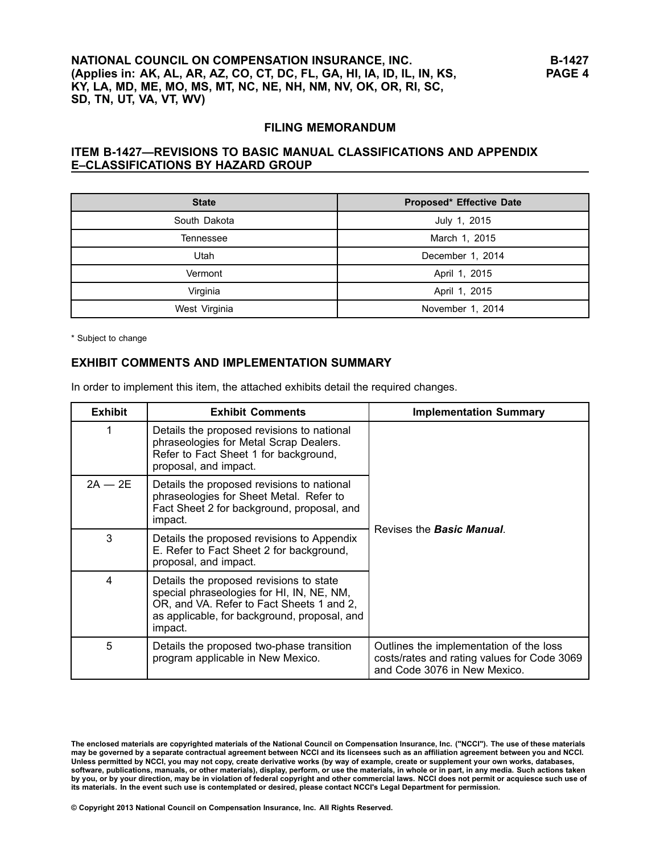# **NATIONAL COUNCIL ON COMPENSATION INSURANCE, INC.** (Applies in: AK, AL, AR, AZ, CO, CT, DC, FL, GA, HI, IA, ID, IL, IN, KS, KY, LA, MD, ME, MO, MS, MT, NC, NE, NH, NM, NV, OK, OR, RI, SC, **SD, TN, UT, VA, VT, WV)**

## **FILING MEMORANDUM**

# **ITEM B-1427—REVISIONS TO BASIC MANUAL CLASSIFICATIONS AND APPENDIX E–CLASSIFICATIONS BY HAZARD GROUP**

| <b>State</b>  | <b>Proposed* Effective Date</b> |
|---------------|---------------------------------|
| South Dakota  | July 1, 2015                    |
| Tennessee     | March 1, 2015                   |
| Utah          | December 1, 2014                |
| Vermont       | April 1, 2015                   |
| Virginia      | April 1, 2015                   |
| West Virginia | November 1, 2014                |

\* Subject to change

## **EXHIBIT COMMENTS AND IMPLEMENTATION SUMMARY**

In order to implement this item, the attached exhibits detail the required changes.

| <b>Exhibit</b> | <b>Exhibit Comments</b>                                                                                                                                                                      | <b>Implementation Summary</b>                                                                                          |  |
|----------------|----------------------------------------------------------------------------------------------------------------------------------------------------------------------------------------------|------------------------------------------------------------------------------------------------------------------------|--|
| 1              | Details the proposed revisions to national<br>phraseologies for Metal Scrap Dealers.<br>Refer to Fact Sheet 1 for background,<br>proposal, and impact.                                       |                                                                                                                        |  |
| $2A - 2E$      | Details the proposed revisions to national<br>phraseologies for Sheet Metal. Refer to<br>Fact Sheet 2 for background, proposal, and<br>impact.                                               | Revises the <b>Basic Manual</b> .                                                                                      |  |
| 3              | Details the proposed revisions to Appendix<br>E. Refer to Fact Sheet 2 for background,<br>proposal, and impact.                                                                              |                                                                                                                        |  |
| 4              | Details the proposed revisions to state<br>special phraseologies for HI, IN, NE, NM,<br>OR, and VA. Refer to Fact Sheets 1 and 2,<br>as applicable, for background, proposal, and<br>impact. |                                                                                                                        |  |
| 5              | Details the proposed two-phase transition<br>program applicable in New Mexico.                                                                                                               | Outlines the implementation of the loss<br>costs/rates and rating values for Code 3069<br>and Code 3076 in New Mexico. |  |

The enclosed materials are copyrighted materials of the National Council on Compensation Insurance, Inc. ("NCCI"). The use of these materials<br>may be governed by a separate contractual agreement between NCCI and its license Unless permitted by NCCI, you may not copy, create derivative works (by way of example, create or supplement your own works, databases,<br>software, publications, manuals, or other materials), display, perform, or use the mat by you, or by your direction, may be in violation of federal copyright and other commercial laws. NCCI does not permit or acquiesce such use of its materials. In the event such use is contemplated or desired, please contact NCCI's Legal Department for permission.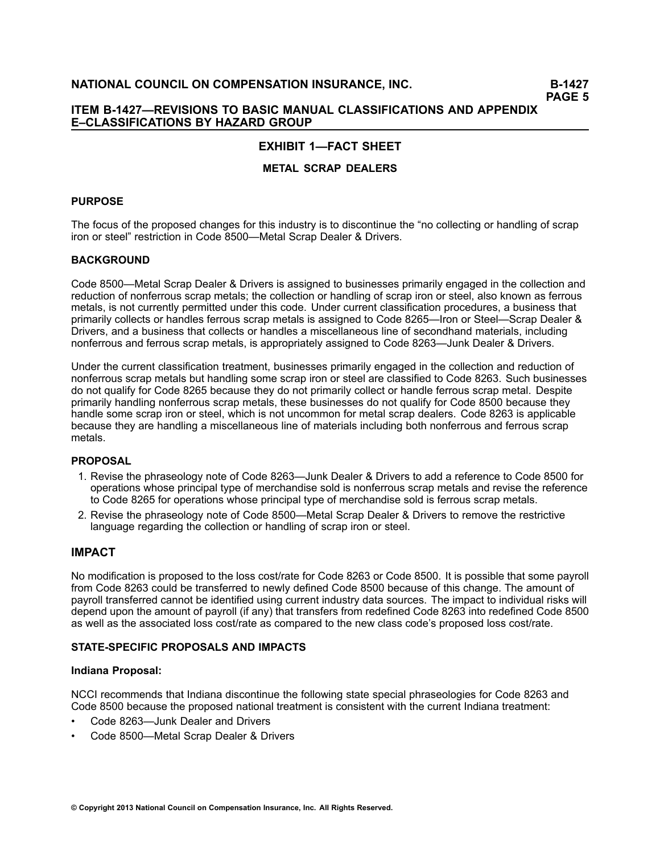# **ITEM B-1427—REVISIONS TO BASIC MANUAL CLASSIFICATIONS AND APPENDIX E–CLASSIFICATIONS BY HAZARD GROUP**

# **EXHIBIT 1—FACT SHEET**

# **METAL SCRAP DEALERS**

# **PURPOSE**

The focus of the proposed changes for this industry is to discontinue the "no collecting or handling of scrap iron or steel" restriction in Code 8500—Metal Scrap Dealer & Drivers.

# **BACKGROUND**

Code 8500—Metal Scrap Dealer & Drivers is assigned to businesses primarily engaged in the collection and reduction of nonferrous scrap metals; the collection or handling of scrap iron or steel, also known as ferrous metals, is not currently permitted under this code. Under current classification procedures, <sup>a</sup> business that primarily collects or handles ferrous scrap metals is assigned to Code 8265—Iron or Steel—Scrap Dealer & Drivers, and <sup>a</sup> business that collects or handles <sup>a</sup> miscellaneous line of secondhand materials, including nonferrous and ferrous scrap metals, is appropriately assigned to Code 8263—Junk Dealer & Drivers.

Under the current classification treatment, businesses primarily engaged in the collection and reduction of nonferrous scrap metals but handling some scrap iron or steel are classified to Code 8263. Such businesses do not qualify for Code <sup>8265</sup> because they do not primarily collect or handle ferrous scrap metal. Despite primarily handling nonferrous scrap metals, these businesses do not qualify for Code <sup>8500</sup> because they handle some scrap iron or steel, which is not uncommon for metal scrap dealers. Code <sup>8263</sup> is applicable because they are handling <sup>a</sup> miscellaneous line of materials including both nonferrous and ferrous scrap metals.

# **PROPOSAL**

- 1. Revise the phraseology note of Code 8263—Junk Dealer & Drivers to add <sup>a</sup> reference to Code <sup>8500</sup> for operations whose principal type of merchandise sold is nonferrous scrap metals and revise the reference to Code <sup>8265</sup> for operations whose principal type of merchandise sold is ferrous scrap metals.
- 2. Revise the phraseology note of Code 8500—Metal Scrap Dealer & Drivers to remove the restrictive language regarding the collection or handling of scrap iron or steel.

# **IMPACT**

No modification is proposed to the loss cost/rate for Code <sup>8263</sup> or Code 8500. It is possible that some payroll from Code <sup>8263</sup> could be transferred to newly defined Code <sup>8500</sup> because of this change. The amount of payroll transferred cannot be identified using current industry data sources. The impact to individual risks will depend upon the amount of payroll (if any) that transfers from redefined Code <sup>8263</sup> into redefined Code <sup>8500</sup> as well as the associated loss cost/rate as compared to the new class code's proposed loss cost/rate.

# **STATE-SPECIFIC PROPOSALS AND IMPACTS**

### **Indiana Proposal:**

NCCI recommends that Indiana discontinue the following state special phraseologies for Code <sup>8263</sup> and Code <sup>8500</sup> because the proposed national treatment is consistent with the current Indiana treatment:

- •Code 8263—Junk Dealer and Drivers
- •Code 8500—Metal Scrap Dealer & Drivers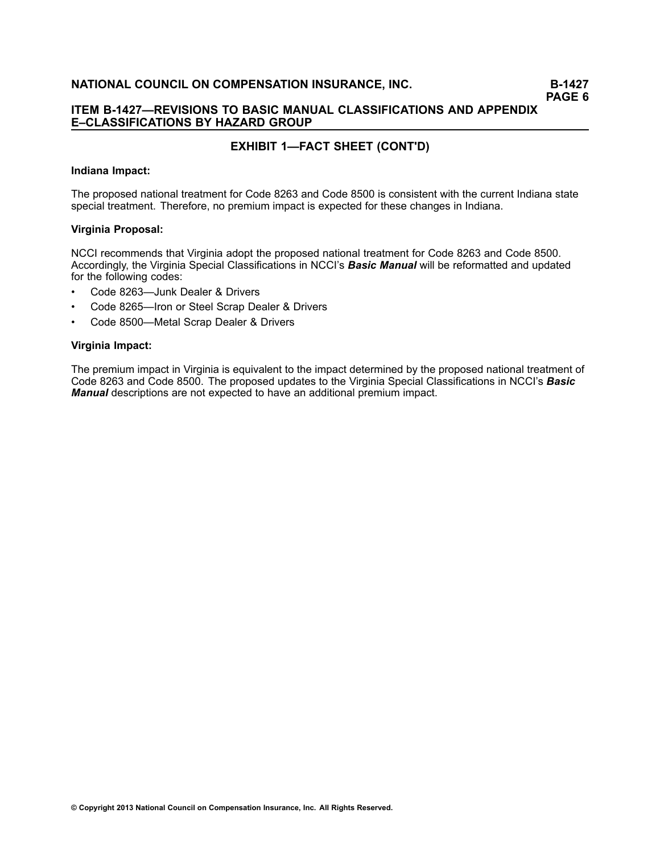# **ITEM B-1427—REVISIONS TO BASIC MANUAL CLASSIFICATIONS AND APPENDIX E–CLASSIFICATIONS BY HAZARD GROUP**

# **EXHIBIT 1—FACT SHEET (CONT'D)**

### **Indiana Impact:**

The proposed national treatment for Code <sup>8263</sup> and Code <sup>8500</sup> is consistent with the current Indiana state special treatment. Therefore, no premium impact is expected for these changes in Indiana.

### **Virginia Proposal:**

NCCI recommends that Virginia adopt the proposed national treatment for Code <sup>8263</sup> and Code 8500. Accordingly, the Virginia Special Classifications in NCCI's *Basic Manual* will be reformatted and updated for the following codes:

- •Code 8263—Junk Dealer & Drivers
- •Code 8265—Iron or Steel Scrap Dealer & Drivers
- •Code 8500—Metal Scrap Dealer & Drivers

## **Virginia Impact:**

The premium impact in Virginia is equivalent to the impact determined by the proposed national treatment of Code <sup>8263</sup> and Code 8500. The proposed updates to the Virginia Special Classifications in NCCI's *Basic Manual* descriptions are not expected to have an additional premium impact.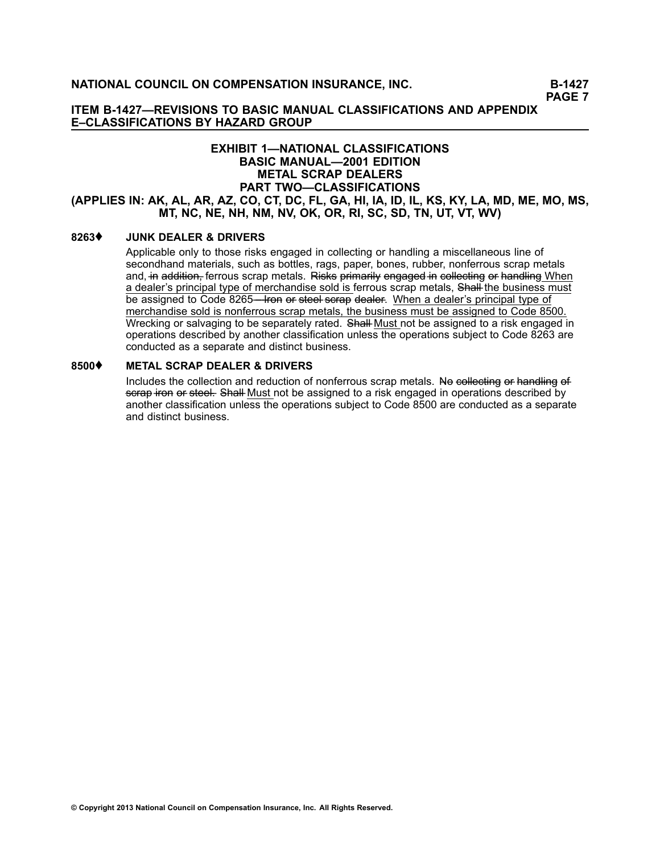**ITEM B-1427—REVISIONS TO BASIC MANUAL CLASSIFICATIONS AND APPENDIX E–CLASSIFICATIONS BY HAZARD GROUP**

# **EXHIBIT 1—NATIONAL CLASSIFICATIONS BASIC MANUAL—2001 EDITION METAL SCRAP DEALERS PART TWO—CLASSIFICATIONS** (APPLIES IN: AK, AL, AR, AZ, CO, CT, DC, FL, GA, HI, IA, ID, IL, KS, KY, LA, MD, ME, MO, MS, MT, NC, NE, NH, NM, NV, OK, OR, RI, SC, SD, TN, UT, VT, WV)

# **[8263](/manuscript/hyperlink.asp?docid=8263&manualtitle=scopesxml)**♦ **JUNK DEALER & DRIVERS**

Applicable only to those risks engaged in collecting or handling <sup>a</sup> miscellaneous line of secondhand materials, such as bottles, rags, paper, bones, rubber, nonferrous scrap metals and, in addition, ferrous scrap metals. Risks primarily engaged in collecting or handling When a dealer's principal type of merchandise sold is ferrous scrap metals, Shall–the business must be assigned to Code [8265—](/manuscript/hyperlink.asp?docid=8265&manualtitle=scopesxml)Iron or steel serap dealer. When a dealer's principal type of merchandise sold is nonferrous scrap metals, the business must be assigned to Code 8500. Wrecking or salvaging to be separately rated. Shall–Must not be assigned to a risk engaged in operations described by another classification unless the operations subject to Code [8263](/manuscript/hyperlink.asp?docid=8263&manualtitle=scopesxml) are conducted as <sup>a</sup> separate and distinct business.

# **[8500](/manuscript/hyperlink.asp?docid=8500&manualtitle=scopesxml)**♦ **METAL SCRAP DEALER & DRIVERS**

Includes the collection and reduction of nonferrous scrap metals. No collecting or handling of serap iron or steel. Shall Must not be assigned to a risk engaged in operations described by another classification unless the operations subject to Code [8500](/manuscript/hyperlink.asp?docid=8500&manualtitle=scopesxml) are conducted as <sup>a</sup> separate and distinct business.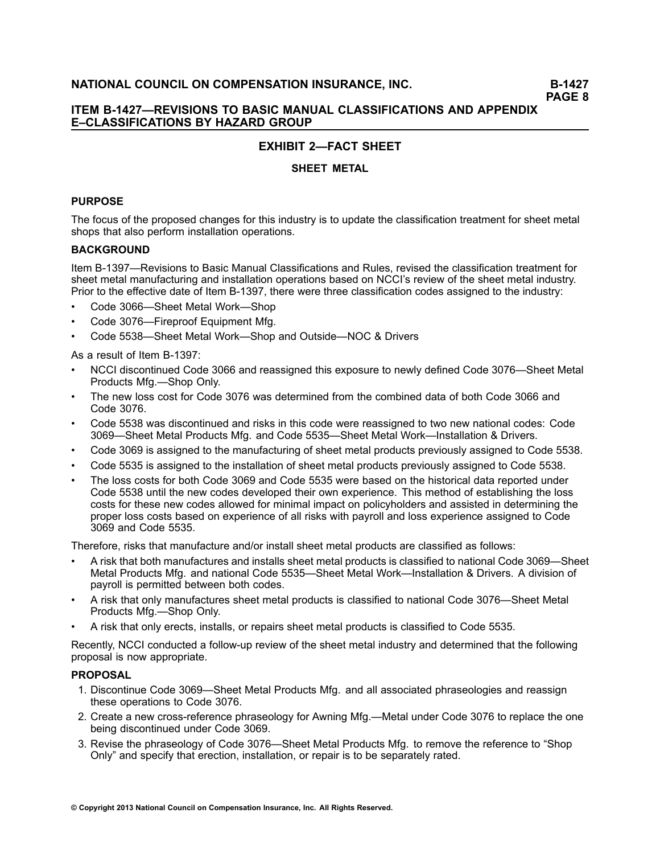# **ITEM B-1427—REVISIONS TO BASIC MANUAL CLASSIFICATIONS AND APPENDIX E–CLASSIFICATIONS BY HAZARD GROUP**

# **EXHIBIT 2—FACT SHEET**

# **SHEET METAL**

# **PURPOSE**

The focus of the proposed changes for this industry is to update the classification treatment for sheet metal shops that also perform installation operations.

# **BACKGROUND**

Item B-1397—Revisions to Basic Manual Classifications and Rules, revised the classification treatment for sheet metal manufacturing and installation operations based on NCCI's review of the sheet metal industry. Prior to the effective date of Item B-1397, there were three classification codes assigned to the industry:

- •Code 3066—Sheet Metal Work—Shop
- •Code 3076—Fireproof Equipment Mfg.
- •Code 5538—Sheet Metal Work—Shop and Outside—NOC & Drivers

As <sup>a</sup> result of Item B-1397:

- • NCCI discontinued Code <sup>3066</sup> and reassigned this exposure to newly defined Code 3076—Sheet Metal Products Mfg.—Shop Only.
- • The new loss cost for Code <sup>3076</sup> was determined from the combined data of both Code <sup>3066</sup> and Code 3076.
- • Code <sup>5538</sup> was discontinued and risks in this code were reassigned to two new national codes: Code 3069—Sheet Metal Products Mfg. and Code 5535—Sheet Metal Work—Installation & Drivers.
- •Code <sup>3069</sup> is assigned to the manufacturing of sheet metal products previously assigned to Code 5538.
- •Code <sup>5535</sup> is assigned to the installation of sheet metal products previously assigned to Code 5538.
- • The loss costs for both Code <sup>3069</sup> and Code <sup>5535</sup> were based on the historical data reported under Code <sup>5538</sup> until the new codes developed their own experience. This method of establishing the loss costs for these new codes allowed for minimal impact on policyholders and assisted in determining the proper loss costs based on experience of all risks with payroll and loss experience assigned to Code <sup>3069</sup> and Code 5535.

Therefore, risks that manufacture and/or install sheet metal products are classified as follows:

- • <sup>A</sup> risk that both manufactures and installs sheet metal products is classified to national Code 3069—Sheet Metal Products Mfg. and national Code 5535—Sheet Metal Work—Installation & Drivers. <sup>A</sup> division of payroll is permitted between both codes.
- • <sup>A</sup> risk that only manufactures sheet metal products is classified to national Code 3076—Sheet Metal Products Mfg.—Shop Only.
- •<sup>A</sup> risk that only erects, installs, or repairs sheet metal products is classified to Code 5535.

Recently, NCCI conducted <sup>a</sup> follow-up review of the sheet metal industry and determined that the following proposal is now appropriate.

# **PROPOSAL**

- 1. Discontinue Code 3069—Sheet Metal Products Mfg. and all associated phraseologies and reassign these operations to Code 3076.
- 2. Create <sup>a</sup> new cross-reference phraseology for Awning Mfg.—Metal under Code <sup>3076</sup> to replace the one being discontinued under Code 3069.
- 3. Revise the phraseology of Code 3076—Sheet Metal Products Mfg. to remove the reference to "Shop Only" and specify that erection, installation, or repair is to be separately rated.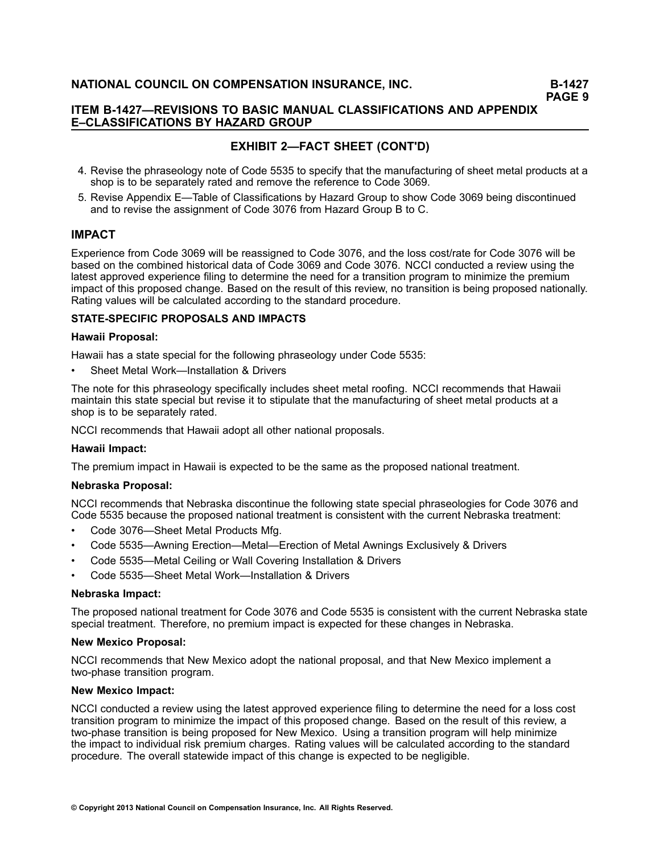**PAGE <sup>9</sup>**

# **ITEM B-1427—REVISIONS TO BASIC MANUAL CLASSIFICATIONS AND APPENDIX E–CLASSIFICATIONS BY HAZARD GROUP**

# **EXHIBIT 2—FACT SHEET (CONT'D)**

- 4. Revise the phraseology note of Code <sup>5535</sup> to specify that the manufacturing of sheet metal products at <sup>a</sup> shop is to be separately rated and remove the reference to Code 3069.
- 5. Revise Appendix E—Table of Classifications by Hazard Group to show Code <sup>3069</sup> being discontinued and to revise the assignment of Code <sup>3076</sup> from Hazard Group <sup>B</sup> to C.

# **IMPACT**

Experience from Code <sup>3069</sup> will be reassigned to Code 3076, and the loss cost/rate for Code <sup>3076</sup> will be based on the combined historical data of Code <sup>3069</sup> and Code 3076. NCCI conducted <sup>a</sup> review using the latest approved experience filing to determine the need for <sup>a</sup> transition program to minimize the premium impact of this proposed change. Based on the result of this review, no transition is being proposed nationally. Rating values will be calculated according to the standard procedure.

## **STATE-SPECIFIC PROPOSALS AND IMPACTS**

## **Hawaii Proposal:**

Hawaii has <sup>a</sup> state special for the following phraseology under Code 5535:

•Sheet Metal Work—Installation & Drivers

The note for this phraseology specifically includes sheet metal roofing. NCCI recommends that Hawaii maintain this state special but revise it to stipulate that the manufacturing of sheet metal products at <sup>a</sup> shop is to be separately rated.

NCCI recommends that Hawaii adopt all other national proposals.

### **Hawaii Impact:**

The premium impact in Hawaii is expected to be the same as the proposed national treatment.

### **Nebraska Proposal:**

NCCI recommends that Nebraska discontinue the following state special phraseologies for Code <sup>3076</sup> and Code <sup>5535</sup> because the proposed national treatment is consistent with the current Nebraska treatment:

- •Code 3076—Sheet Metal Products Mfg.
- •Code 5535—Awning Erection—Metal—Erection of Metal Awnings Exclusively & Drivers
- •Code 5535—Metal Ceiling or Wall Covering Installation & Drivers
- •Code 5535—Sheet Metal Work—Installation & Drivers

### **Nebraska Impact:**

The proposed national treatment for Code <sup>3076</sup> and Code <sup>5535</sup> is consistent with the current Nebraska state special treatment. Therefore, no premium impact is expected for these changes in Nebraska.

## **New Mexico Proposal:**

NCCI recommends that New Mexico adopt the national proposal, and that New Mexico implement <sup>a</sup> two-phase transition program.

### **New Mexico Impact:**

NCCI conducted <sup>a</sup> review using the latest approved experience filing to determine the need for <sup>a</sup> loss cost transition program to minimize the impact of this proposed change. Based on the result of this review, <sup>a</sup> two-phase transition is being proposed for New Mexico. Using <sup>a</sup> transition program will help minimize the impact to individual risk premium charges. Rating values will be calculated according to the standard procedure. The overall statewide impact of this change is expected to be negligible.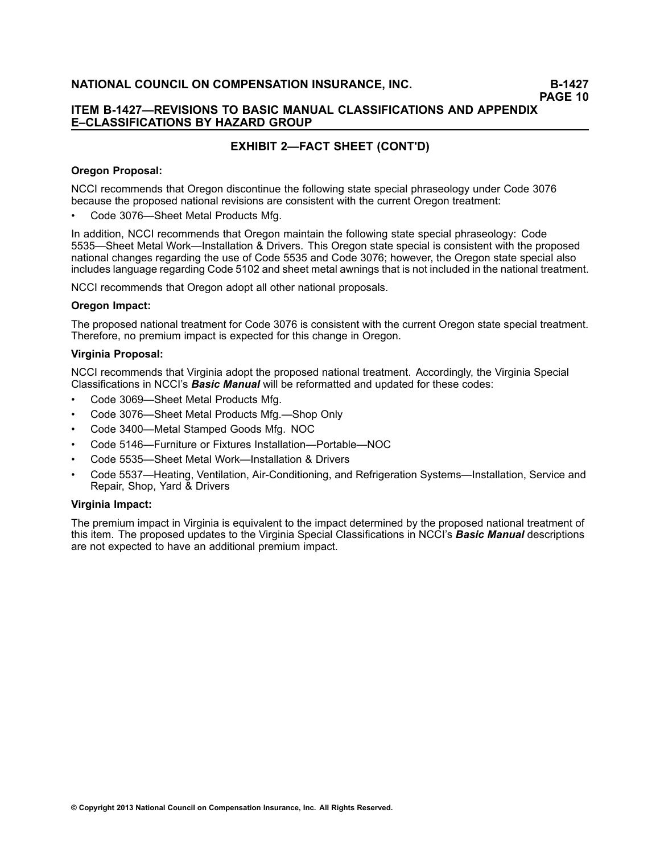# **ITEM B-1427—REVISIONS TO BASIC MANUAL CLASSIFICATIONS AND APPENDIX E–CLASSIFICATIONS BY HAZARD GROUP**

# **EXHIBIT 2—FACT SHEET (CONT'D)**

# **Oregon Proposal:**

NCCI recommends that Oregon discontinue the following state special phraseology under Code <sup>3076</sup> because the proposed national revisions are consistent with the current Oregon treatment:

•Code 3076—Sheet Metal Products Mfg.

In addition, NCCI recommends that Oregon maintain the following state special phraseology: Code 5535—Sheet Metal Work—Installation & Drivers. This Oregon state special is consistent with the proposed national changes regarding the use of Code <sup>5535</sup> and Code 3076; however, the Oregon state special also includes language regarding Code <sup>5102</sup> and sheet metal awnings that is not included in the national treatment.

NCCI recommends that Oregon adopt all other national proposals.

# **Oregon Impact:**

The proposed national treatment for Code <sup>3076</sup> is consistent with the current Oregon state special treatment. Therefore, no premium impact is expected for this change in Oregon.

## **Virginia Proposal:**

NCCI recommends that Virginia adopt the proposed national treatment. Accordingly, the Virginia Special Classifications in NCCI's *Basic Manual* will be reformatted and updated for these codes:

- •Code 3069—Sheet Metal Products Mfg.
- •Code 3076—Sheet Metal Products Mfg.—Shop Only
- •Code 3400—Metal Stamped Goods Mfg. NOC
- •Code 5146—Furniture or Fixtures Installation—Portable—NOC
- •Code 5535—Sheet Metal Work—Installation & Drivers
- • Code 5537—Heating, Ventilation, Air-Conditioning, and Refrigeration Systems—Installation, Service and Repair, Shop, Yard & Drivers

# **Virginia Impact:**

The premium impact in Virginia is equivalent to the impact determined by the proposed national treatment of this item. The proposed updates to the Virginia Special Classifications in NCCI's *Basic Manual* descriptions are not expected to have an additional premium impact.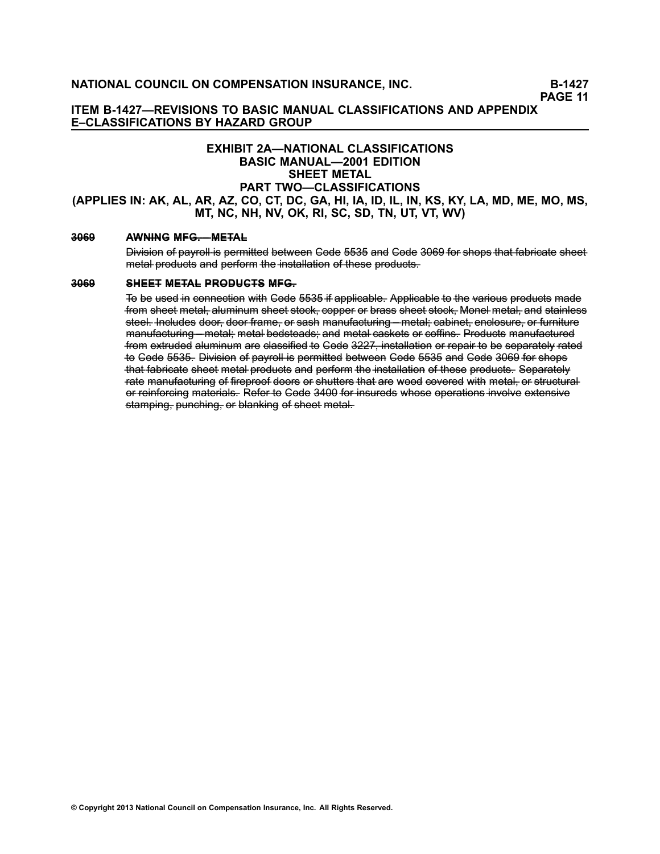# **ITEM B-1427—REVISIONS TO BASIC MANUAL CLASSIFICATIONS AND APPENDIX E–CLASSIFICATIONS BY HAZARD GROUP**

# **EXHIBIT 2A—NATIONAL CLASSIFICATIONS BASIC MANUAL—2001 EDITION SHEET METAL PART TWO—CLASSIFICATIONS** (APPLIES IN: AK, AL, AR, AZ, CO, CT, DC, GA, HI, IA, ID, IL, IN, KS, KY, LA, MD, ME, MO, MS, **MT, NC, NH, NV, OK, RI, SC, SD, TN, UT, VT, WV)**

## **[3–0–6–9–](/manuscript/hyperlink.asp?docid=3069&manualtitle=scopesxml) A–W– N–I–N–G– M– F–G–.–—– M– E–T–A–L–**

Division of payroll is permitted between Gode 5535 and Gode 3069 for shops that fabricate sheet metal products and perform the installation of these products.

#### **[3–0–6–9–](/manuscript/hyperlink.asp?docid=3069&manualtitle=scopesxml) S–H–E–E–T– M– E–T–A–L– P–R–O–D–U–C–T–S– M– F–G–.–**

To be used in connection with Gode 5535 if applicable. Applicable to the various products made from sheet metal, aluminum sheet stock, copper or brass sheet stock. Monel metal, and stainless steel. Includes door, door frame, or sash manufacturing – metal; cabinet, enclosure, or furniture manufacturing – metal– metal–bedsteads– and metal–caskets or coffins– Products manufactured from extruded aluminum are classified to Gode 3227, installation or repair to be separately rated to Gode 5535. Division of payroll is permitted between Gode 5535 and Gode 3069 for shops that fabricate sheet metal products and perform the installation of these products. Separately rate manufacturing of fireproof doors or shutters that are wood covered with metal, or structural or reinforcing materials. Refer to Gode 3400 for insureds whose operations involve extensive stamping, punching, or blanking of sheet metal.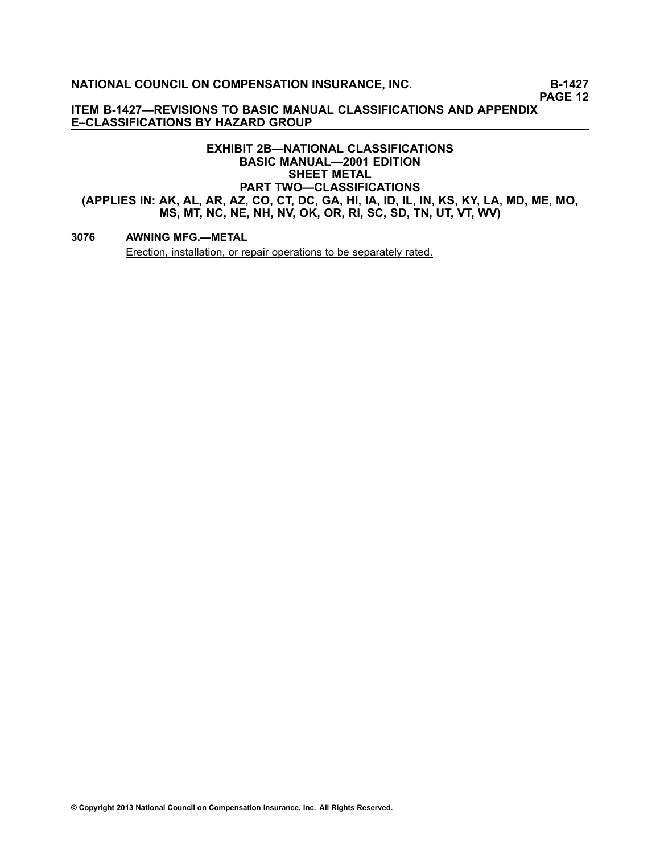**PAGE <sup>12</sup>**

**ITEM B-1427—REVISIONS TO BASIC MANUAL CLASSIFICATIONS AND APPENDIX E–CLASSIFICATIONS BY HAZARD GROUP**

# **EXHIBIT 2B—NATIONAL CLASSIFICATIONS BASIC MANUAL—2001 EDITION SHEET METAL PART TWO—CLASSIFICATIONS** (APPLIES IN: AK, AL, AR, AZ, CO, CT, DC, GA, HI, IA, ID, IL, IN, KS, KY, LA, MD, ME, MO, MS, MT, NC, NE, NH, NV, OK, OR, RI, SC, SD, TN, UT, VT, WV)

# **[3076](/manuscript/hyperlink.asp?docid=3076&manualtitle=scopesxml) AWNING MFG.—METAL**

Erection, installation, or repair operations to be separately rated.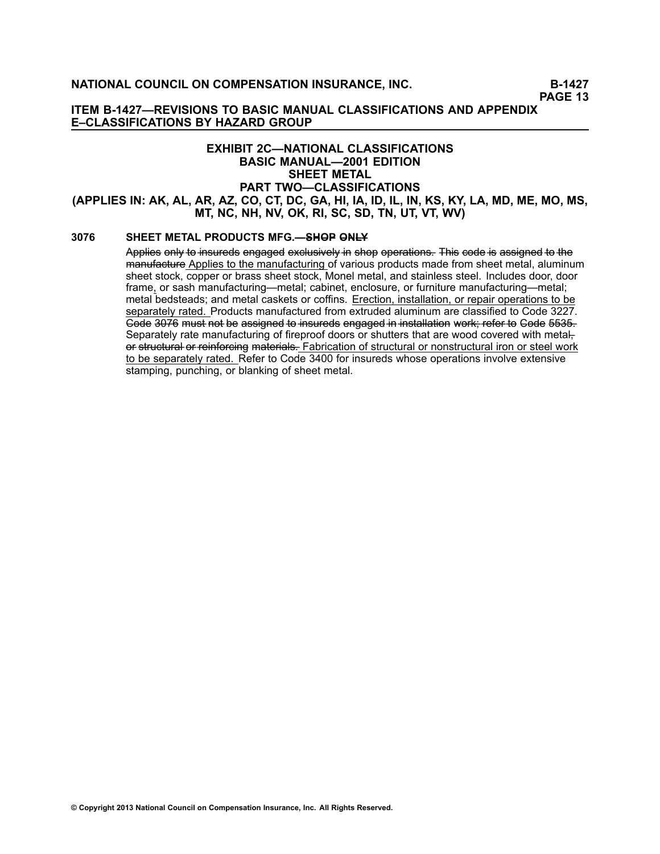**ITEM B-1427—REVISIONS TO BASIC MANUAL CLASSIFICATIONS AND APPENDIX E–CLASSIFICATIONS BY HAZARD GROUP**

# **EXHIBIT 2C—NATIONAL CLASSIFICATIONS BASIC MANUAL—2001 EDITION SHEET METAL PART TWO—CLASSIFICATIONS** (APPLIES IN: AK, AL, AR, AZ, CO, CT, DC, GA, HI, IA, ID, IL, IN, KS, KY, LA, MD, ME, MO, MS, **MT, NC, NH, NV, OK, RI, SC, SD, TN, UT, VT, WV)**

# **[3076](/manuscript/hyperlink.asp?docid=3076&manualtitle=scopesxml) SHEET METAL PRODUCTS MFG.—– S–H–O–P– O–N–L–Y–**

Applies only to insureds engaged exclusively in shop operations. This code is assigned to the manufacture Applies to the manufacturing of various products made from sheet metal, aluminum sheet stock, copper or brass sheet stock, Monel metal, and stainless steel. Includes door, door frame, or sash manufacturing—metal; cabinet, enclosure, or furniture manufacturing—metal; metal bedsteads; and metal caskets or coffins. Erection, installation, or repair operations to be separately rated. Products manufactured from extruded aluminum are classified to Code [3227](/manuscript/hyperlink.asp?docid=3227&manualtitle=scopesxml). Code 3076 must not be assigned to insureds engaged in installation work; refer to Code 5535. Separately rate manufacturing of fireproof doors or shutters that are wood covered with metalor structural or reinforcing materials. Fabrication of structural or nonstructural iron or steel work to be separately rated. Refer to Code [3400](/manuscript/hyperlink.asp?docid=3400&manualtitle=scopesxml) for insureds whose operations involve extensive stamping, punching, or blanking of sheet metal.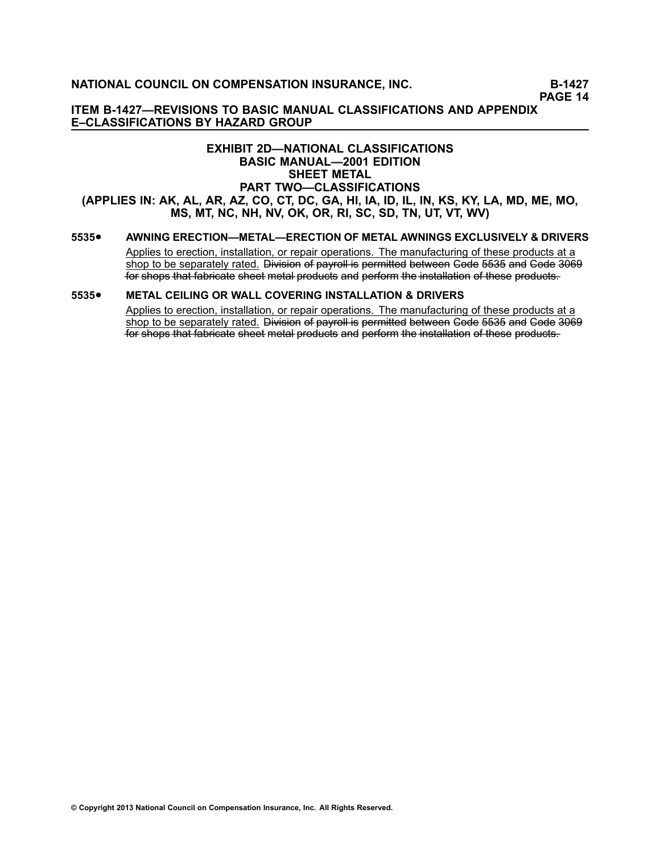**PAGE <sup>14</sup>**

**ITEM B-1427—REVISIONS TO BASIC MANUAL CLASSIFICATIONS AND APPENDIX E–CLASSIFICATIONS BY HAZARD GROUP**

# **EXHIBIT 2D—NATIONAL CLASSIFICATIONS BASIC MANUAL—2001 EDITION SHEET METAL PART TWO—CLASSIFICATIONS** (APPLIES IN: AK, AL, AR, AZ, CO, CT, DC, GA, HI, IA, ID, IL, IN, KS, KY, LA, MD, ME, MO, MS, MT, NC, NH, NV, OK, OR, RI, SC, SD, TN, UT, VT, WV)

#### **[5535](/manuscript/hyperlink.asp?docid=5535&manualtitle=scopesxml)**•**AWNING ERECTION—METAL—ERECTION OF METAL AWNINGS EXCLUSIVELY & DRIVERS**

Applies to erection, installation, or repair operations. The manufacturing of these products at <sup>a</sup> shop to be separately rated. Division of payroll is permitted between Gode 5535 and Gode 3069 for shops that fabricate sheet metal products and perform the installation of these products.

#### **[5535](/manuscript/hyperlink.asp?docid=5535&manualtitle=scopesxml)**•**METAL CEILING OR WALL COVERING INSTALLATION & DRIVERS**

Applies to erection, installation, or repair operations. The manufacturing of these products at <sup>a</sup> shop to be separately rated. Division of payroll is permitted between Gode 5535 and Gode 3069 for shops that fabricate sheet metal products and perform the installation of these products.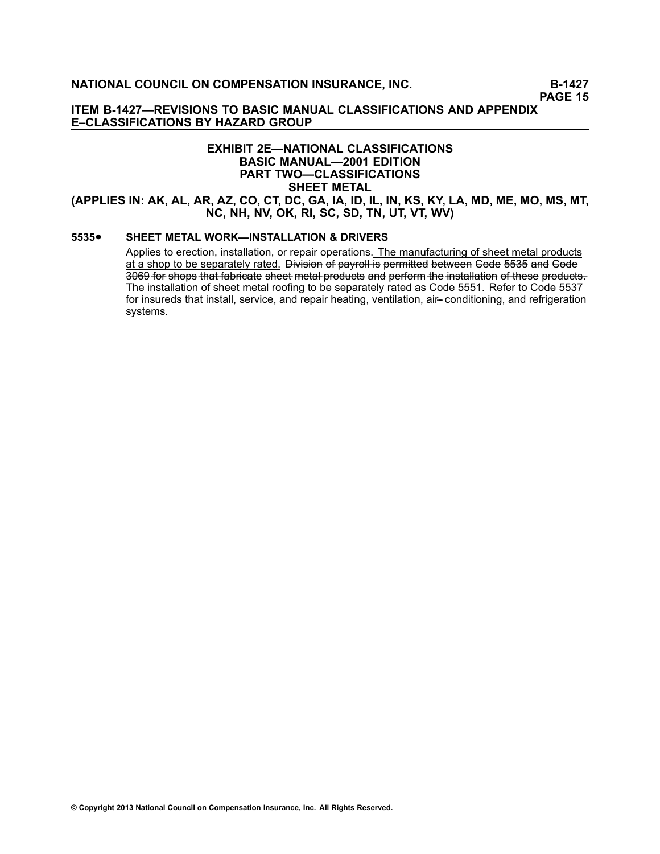**ITEM B-1427—REVISIONS TO BASIC MANUAL CLASSIFICATIONS AND APPENDIX E–CLASSIFICATIONS BY HAZARD GROUP**

# **EXHIBIT 2E—NATIONAL CLASSIFICATIONS BASIC MANUAL—2001 EDITION PART TWO—CLASSIFICATIONS SHEET METAL** (APPLIES IN: AK, AL, AR, AZ, CO, CT, DC, GA, IA, ID, IL, IN, KS, KY, LA, MD, ME, MO, MS, MT, **NC, NH, NV, OK, RI, SC, SD, TN, UT, VT, WV)**

#### **[5535](/manuscript/hyperlink.asp?docid=5535&manualtitle=scopesxml)**•**SHEET METAL WORK—INSTALLATION & DRIVERS**

Applies to erection, installation, or repair operations. The manufacturing of sheet metal products at a shop to be separately rated. Division of payroll is permitted between Code 5535 and Code 3069 for shops that fabricate sheet metal products and perform the installation of these products-The installation of sheet metal roofing to be separately rated as Code [5551](/manuscript/hyperlink.asp?docid=5551&manualtitle=scopesxml). Refer to Code [5537](/manuscript/hyperlink.asp?docid=5537&manualtitle=scopesxml) for insureds that install, service, and repair heating, ventilation, air-– conditioning, and refrigeration systems.